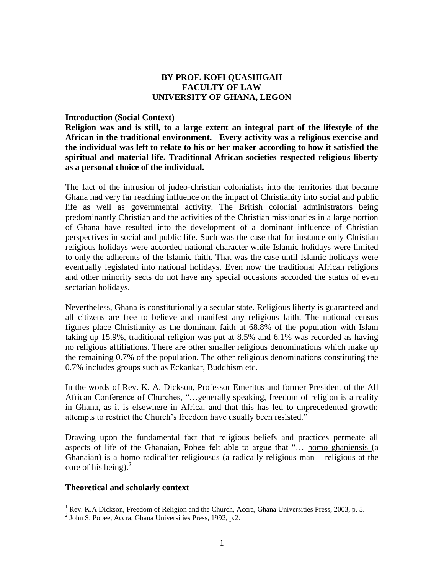### **BY PROF. KOFI QUASHIGAH FACULTY OF LAW UNIVERSITY OF GHANA, LEGON**

#### **Introduction (Social Context)**

**Religion was and is still, to a large extent an integral part of the lifestyle of the African in the traditional environment. Every activity was a religious exercise and the individual was left to relate to his or her maker according to how it satisfied the spiritual and material life. Traditional African societies respected religious liberty as a personal choice of the individual.**

The fact of the intrusion of judeo-christian colonialists into the territories that became Ghana had very far reaching influence on the impact of Christianity into social and public life as well as governmental activity. The British colonial administrators being predominantly Christian and the activities of the Christian missionaries in a large portion of Ghana have resulted into the development of a dominant influence of Christian perspectives in social and public life. Such was the case that for instance only Christian religious holidays were accorded national character while Islamic holidays were limited to only the adherents of the Islamic faith. That was the case until Islamic holidays were eventually legislated into national holidays. Even now the traditional African religions and other minority sects do not have any special occasions accorded the status of even sectarian holidays.

Nevertheless, Ghana is constitutionally a secular state. Religious liberty is guaranteed and all citizens are free to believe and manifest any religious faith. The national census figures place Christianity as the dominant faith at 68.8% of the population with Islam taking up 15.9%, traditional religion was put at 8.5% and 6.1% was recorded as having no religious affiliations. There are other smaller religious denominations which make up the remaining 0.7% of the population. The other religious denominations constituting the 0.7% includes groups such as Eckankar, Buddhism etc.

In the words of Rev. K. A. Dickson, Professor Emeritus and former President of the All African Conference of Churches, "…generally speaking, freedom of religion is a reality in Ghana, as it is elsewhere in Africa, and that this has led to unprecedented growth; attempts to restrict the Church's freedom have usually been resisted."<sup>1</sup>

Drawing upon the fundamental fact that religious beliefs and practices permeate all aspects of life of the Ghanaian, Pobee felt able to argue that "… homo ghaniensis (a Ghanaian) is a homo radicaliter religiousus (a radically religious man – religious at the core of his being). $^{2}$ 

#### **Theoretical and scholarly context**

 $1$  Rev. K.A Dickson, Freedom of Religion and the Church, Accra, Ghana Universities Press, 2003, p. 5.

<sup>&</sup>lt;sup>2</sup> John S. Pobee, Accra, Ghana Universities Press, 1992, p.2.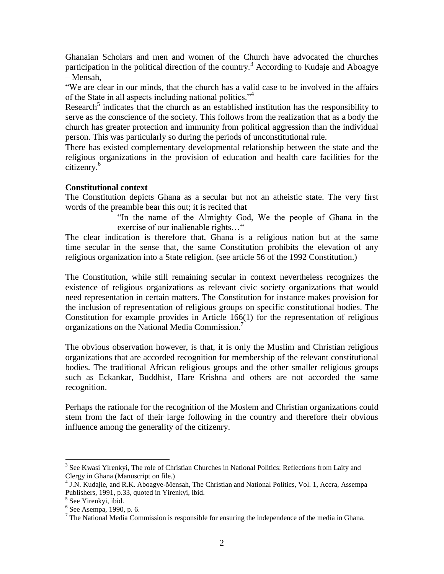Ghanaian Scholars and men and women of the Church have advocated the churches participation in the political direction of the country.<sup>3</sup> According to Kudaje and Aboagye – Mensah,

"We are clear in our minds, that the church has a valid case to be involved in the affairs of the State in all aspects including national politics."<sup>4</sup>

Research<sup>5</sup> indicates that the church as an established institution has the responsibility to serve as the conscience of the society. This follows from the realization that as a body the church has greater protection and immunity from political aggression than the individual person. This was particularly so during the periods of unconstitutional rule.

There has existed complementary developmental relationship between the state and the religious organizations in the provision of education and health care facilities for the citizenry.<sup>6</sup>

# **Constitutional context**

The Constitution depicts Ghana as a secular but not an atheistic state. The very first words of the preamble bear this out; it is recited that

> "In the name of the Almighty God, We the people of Ghana in the exercise of our inalienable rights…"

The clear indication is therefore that, Ghana is a religious nation but at the same time secular in the sense that, the same Constitution prohibits the elevation of any religious organization into a State religion. (see article 56 of the 1992 Constitution.)

The Constitution, while still remaining secular in context nevertheless recognizes the existence of religious organizations as relevant civic society organizations that would need representation in certain matters. The Constitution for instance makes provision for the inclusion of representation of religious groups on specific constitutional bodies. The Constitution for example provides in Article 166(1) for the representation of religious organizations on the National Media Commission.<sup>7</sup>

The obvious observation however, is that, it is only the Muslim and Christian religious organizations that are accorded recognition for membership of the relevant constitutional bodies. The traditional African religious groups and the other smaller religious groups such as Eckankar, Buddhist, Hare Krishna and others are not accorded the same recognition.

Perhaps the rationale for the recognition of the Moslem and Christian organizations could stem from the fact of their large following in the country and therefore their obvious influence among the generality of the citizenry.

<sup>&</sup>lt;sup>3</sup> See Kwasi Yirenkyi, The role of Christian Churches in National Politics: Reflections from Laity and Clergy in Ghana (Manuscript on file.)

<sup>&</sup>lt;sup>4</sup> J.N. Kudajie, and R.K. Aboagye-Mensah, The Christian and National Politics, Vol. 1, Accra, Assempa Publishers, 1991, p.33, quoted in Yirenkyi, ibid.

<sup>5</sup> See Yirenkyi, ibid.

<sup>6</sup> See Asempa, 1990, p. 6.

 $7$  The National Media Commission is responsible for ensuring the independence of the media in Ghana.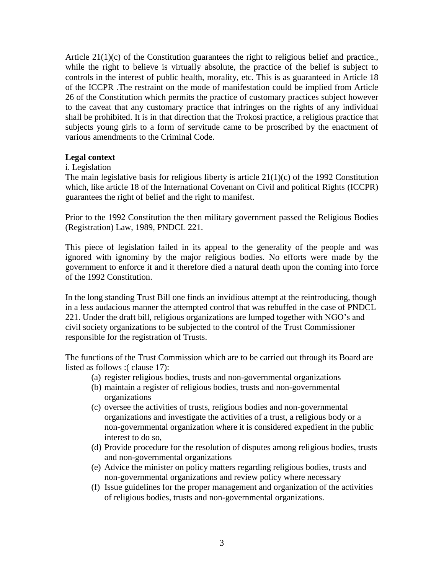Article 21(1)(c) of the Constitution guarantees the right to religious belief and practice., while the right to believe is virtually absolute, the practice of the belief is subject to controls in the interest of public health, morality, etc. This is as guaranteed in Article 18 of the ICCPR .The restraint on the mode of manifestation could be implied from Article 26 of the Constitution which permits the practice of customary practices subject however to the caveat that any customary practice that infringes on the rights of any individual shall be prohibited. It is in that direction that the Trokosi practice, a religious practice that subjects young girls to a form of servitude came to be proscribed by the enactment of various amendments to the Criminal Code.

### **Legal context**

#### i. Legislation

The main legislative basis for religious liberty is article  $21(1)(c)$  of the 1992 Constitution which, like article 18 of the International Covenant on Civil and political Rights (ICCPR) guarantees the right of belief and the right to manifest.

Prior to the 1992 Constitution the then military government passed the Religious Bodies (Registration) Law, 1989, PNDCL 221.

This piece of legislation failed in its appeal to the generality of the people and was ignored with ignominy by the major religious bodies. No efforts were made by the government to enforce it and it therefore died a natural death upon the coming into force of the 1992 Constitution.

In the long standing Trust Bill one finds an invidious attempt at the reintroducing, though in a less audacious manner the attempted control that was rebuffed in the case of PNDCL 221. Under the draft bill, religious organizations are lumped together with NGO's and civil society organizations to be subjected to the control of the Trust Commissioner responsible for the registration of Trusts.

The functions of the Trust Commission which are to be carried out through its Board are listed as follows :( clause 17):

- (a) register religious bodies, trusts and non-governmental organizations
- (b) maintain a register of religious bodies, trusts and non-governmental organizations
- (c) oversee the activities of trusts, religious bodies and non-governmental organizations and investigate the activities of a trust, a religious body or a non-governmental organization where it is considered expedient in the public interest to do so,
- (d) Provide procedure for the resolution of disputes among religious bodies, trusts and non-governmental organizations
- (e) Advice the minister on policy matters regarding religious bodies, trusts and non-governmental organizations and review policy where necessary
- (f) Issue guidelines for the proper management and organization of the activities of religious bodies, trusts and non-governmental organizations.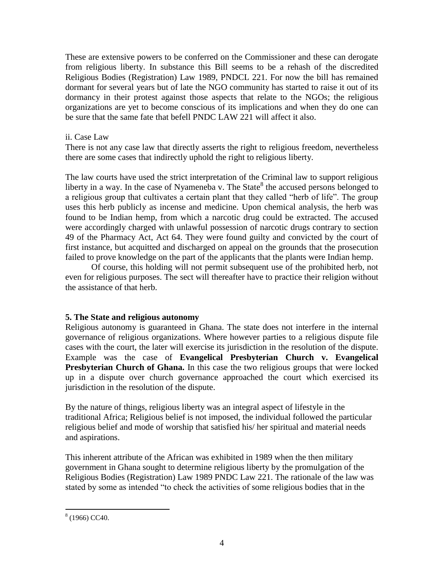These are extensive powers to be conferred on the Commissioner and these can derogate from religious liberty. In substance this Bill seems to be a rehash of the discredited Religious Bodies (Registration) Law 1989, PNDCL 221. For now the bill has remained dormant for several years but of late the NGO community has started to raise it out of its dormancy in their protest against those aspects that relate to the NGOs; the religious organizations are yet to become conscious of its implications and when they do one can be sure that the same fate that befell PNDC LAW 221 will affect it also.

### ii. Case Law

There is not any case law that directly asserts the right to religious freedom, nevertheless there are some cases that indirectly uphold the right to religious liberty.

The law courts have used the strict interpretation of the Criminal law to support religious liberty in a way. In the case of Nyameneba v. The State<sup>8</sup> the accused persons belonged to a religious group that cultivates a certain plant that they called "herb of life". The group uses this herb publicly as incense and medicine. Upon chemical analysis, the herb was found to be Indian hemp, from which a narcotic drug could be extracted. The accused were accordingly charged with unlawful possession of narcotic drugs contrary to section 49 of the Pharmacy Act, Act 64. They were found guilty and convicted by the court of first instance, but acquitted and discharged on appeal on the grounds that the prosecution failed to prove knowledge on the part of the applicants that the plants were Indian hemp.

Of course, this holding will not permit subsequent use of the prohibited herb, not even for religious purposes. The sect will thereafter have to practice their religion without the assistance of that herb.

# **5. The State and religious autonomy**

Religious autonomy is guaranteed in Ghana. The state does not interfere in the internal governance of religious organizations. Where however parties to a religious dispute file cases with the court, the later will exercise its jurisdiction in the resolution of the dispute. Example was the case of **Evangelical Presbyterian Church v. Evangelical Presbyterian Church of Ghana.** In this case the two religious groups that were locked up in a dispute over church governance approached the court which exercised its jurisdiction in the resolution of the dispute.

By the nature of things, religious liberty was an integral aspect of lifestyle in the traditional Africa; Religious belief is not imposed, the individual followed the particular religious belief and mode of worship that satisfied his/ her spiritual and material needs and aspirations.

This inherent attribute of the African was exhibited in 1989 when the then military government in Ghana sought to determine religious liberty by the promulgation of the Religious Bodies (Registration) Law 1989 PNDC Law 221. The rationale of the law was stated by some as intended "to check the activities of some religious bodies that in the

 $\overline{a}$  $(1966)$  CC40.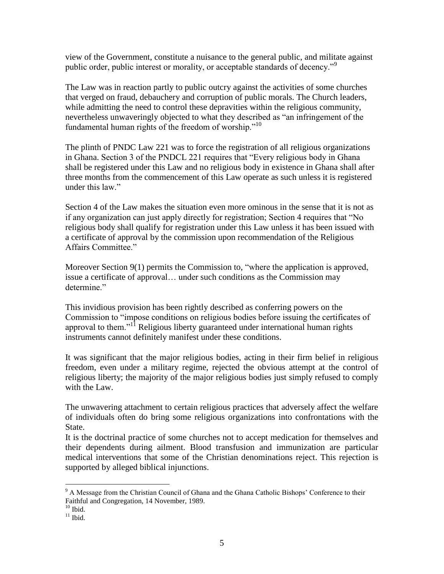view of the Government, constitute a nuisance to the general public, and militate against public order, public interest or morality, or acceptable standards of decency."<sup>9</sup>

The Law was in reaction partly to public outcry against the activities of some churches that verged on fraud, debauchery and corruption of public morals. The Church leaders, while admitting the need to control these depravities within the religious community, nevertheless unwaveringly objected to what they described as "an infringement of the fundamental human rights of the freedom of worship."<sup>10</sup>

The plinth of PNDC Law 221 was to force the registration of all religious organizations in Ghana. Section 3 of the PNDCL 221 requires that "Every religious body in Ghana shall be registered under this Law and no religious body in existence in Ghana shall after three months from the commencement of this Law operate as such unless it is registered under this law."

Section 4 of the Law makes the situation even more ominous in the sense that it is not as if any organization can just apply directly for registration; Section 4 requires that "No religious body shall qualify for registration under this Law unless it has been issued with a certificate of approval by the commission upon recommendation of the Religious Affairs Committee."

Moreover Section 9(1) permits the Commission to, "where the application is approved, issue a certificate of approval… under such conditions as the Commission may determine."

This invidious provision has been rightly described as conferring powers on the Commission to "impose conditions on religious bodies before issuing the certificates of approval to them."<sup>11</sup> Religious liberty guaranteed under international human rights instruments cannot definitely manifest under these conditions.

It was significant that the major religious bodies, acting in their firm belief in religious freedom, even under a military regime, rejected the obvious attempt at the control of religious liberty; the majority of the major religious bodies just simply refused to comply with the Law.

The unwavering attachment to certain religious practices that adversely affect the welfare of individuals often do bring some religious organizations into confrontations with the State.

It is the doctrinal practice of some churches not to accept medication for themselves and their dependents during ailment. Blood transfusion and immunization are particular medical interventions that some of the Christian denominations reject. This rejection is supported by alleged biblical injunctions.

<sup>&</sup>lt;sup>9</sup> A Message from the Christian Council of Ghana and the Ghana Catholic Bishops' Conference to their Faithful and Congregation, 14 November, 1989.

 $10$  Ibid.

 $11$  Ibid.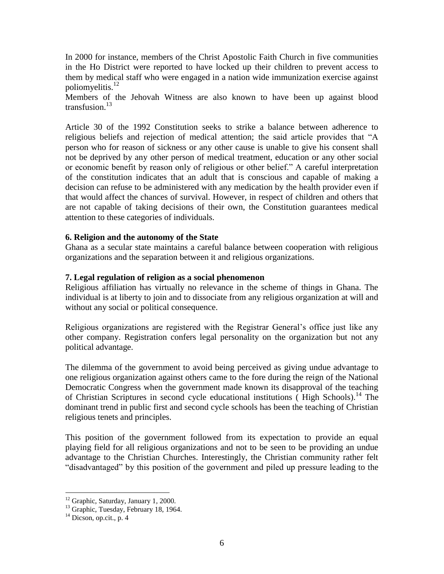In 2000 for instance, members of the Christ Apostolic Faith Church in five communities in the Ho District were reported to have locked up their children to prevent access to them by medical staff who were engaged in a nation wide immunization exercise against poliomyelitis.<sup>12</sup>

Members of the Jehovah Witness are also known to have been up against blood transfusion.<sup>13</sup>

Article 30 of the 1992 Constitution seeks to strike a balance between adherence to religious beliefs and rejection of medical attention; the said article provides that "A person who for reason of sickness or any other cause is unable to give his consent shall not be deprived by any other person of medical treatment, education or any other social or economic benefit by reason only of religious or other belief." A careful interpretation of the constitution indicates that an adult that is conscious and capable of making a decision can refuse to be administered with any medication by the health provider even if that would affect the chances of survival. However, in respect of children and others that are not capable of taking decisions of their own, the Constitution guarantees medical attention to these categories of individuals.

#### **6. Religion and the autonomy of the State**

Ghana as a secular state maintains a careful balance between cooperation with religious organizations and the separation between it and religious organizations.

#### **7. Legal regulation of religion as a social phenomenon**

Religious affiliation has virtually no relevance in the scheme of things in Ghana. The individual is at liberty to join and to dissociate from any religious organization at will and without any social or political consequence.

Religious organizations are registered with the Registrar General's office just like any other company. Registration confers legal personality on the organization but not any political advantage.

The dilemma of the government to avoid being perceived as giving undue advantage to one religious organization against others came to the fore during the reign of the National Democratic Congress when the government made known its disapproval of the teaching of Christian Scriptures in second cycle educational institutions (High Schools).<sup>14</sup> The dominant trend in public first and second cycle schools has been the teaching of Christian religious tenets and principles.

This position of the government followed from its expectation to provide an equal playing field for all religious organizations and not to be seen to be providing an undue advantage to the Christian Churches. Interestingly, the Christian community rather felt "disadvantaged" by this position of the government and piled up pressure leading to the

<sup>&</sup>lt;sup>12</sup> Graphic, Saturday, January 1, 2000.

<sup>&</sup>lt;sup>13</sup> Graphic, Tuesday, February 18, 1964.

 $14$  Dicson, op.cit., p. 4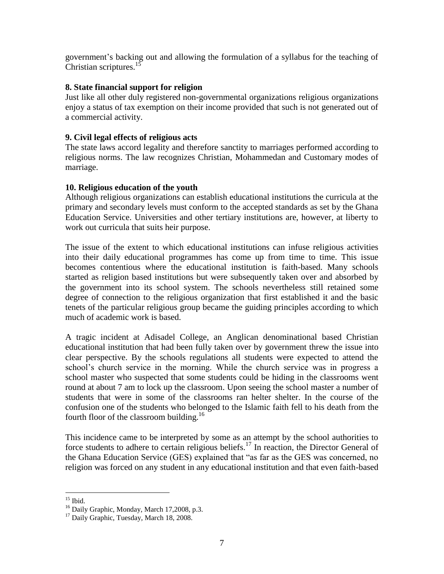government's backing out and allowing the formulation of a syllabus for the teaching of Christian scriptures.<sup>15</sup>

## **8. State financial support for religion**

Just like all other duly registered non-governmental organizations religious organizations enjoy a status of tax exemption on their income provided that such is not generated out of a commercial activity.

### **9. Civil legal effects of religious acts**

The state laws accord legality and therefore sanctity to marriages performed according to religious norms. The law recognizes Christian, Mohammedan and Customary modes of marriage.

## **10. Religious education of the youth**

Although religious organizations can establish educational institutions the curricula at the primary and secondary levels must conform to the accepted standards as set by the Ghana Education Service. Universities and other tertiary institutions are, however, at liberty to work out curricula that suits heir purpose.

The issue of the extent to which educational institutions can infuse religious activities into their daily educational programmes has come up from time to time. This issue becomes contentious where the educational institution is faith-based. Many schools started as religion based institutions but were subsequently taken over and absorbed by the government into its school system. The schools nevertheless still retained some degree of connection to the religious organization that first established it and the basic tenets of the particular religious group became the guiding principles according to which much of academic work is based.

A tragic incident at Adisadel College, an Anglican denominational based Christian educational institution that had been fully taken over by government threw the issue into clear perspective. By the schools regulations all students were expected to attend the school's church service in the morning. While the church service was in progress a school master who suspected that some students could be hiding in the classrooms went round at about 7 am to lock up the classroom. Upon seeing the school master a number of students that were in some of the classrooms ran helter shelter. In the course of the confusion one of the students who belonged to the Islamic faith fell to his death from the fourth floor of the classroom building.<sup>16</sup>

This incidence came to be interpreted by some as an attempt by the school authorities to force students to adhere to certain religious beliefs.<sup>17</sup> In reaction, the Director General of the Ghana Education Service (GES) explained that "as far as the GES was concerned, no religion was forced on any student in any educational institution and that even faith-based

 $\overline{a}$  $15$  Ibid.

<sup>&</sup>lt;sup>16</sup> Daily Graphic, Monday, March 17,2008, p.3.

<sup>&</sup>lt;sup>17</sup> Daily Graphic, Tuesday, March 18, 2008.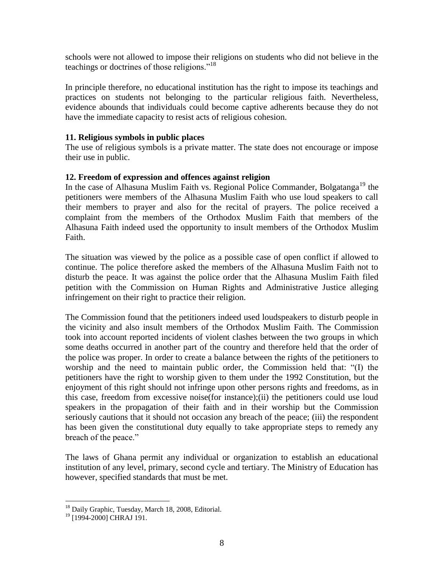schools were not allowed to impose their religions on students who did not believe in the teachings or doctrines of those religions."<sup>18</sup>

In principle therefore, no educational institution has the right to impose its teachings and practices on students not belonging to the particular religious faith. Nevertheless, evidence abounds that individuals could become captive adherents because they do not have the immediate capacity to resist acts of religious cohesion.

## **11. Religious symbols in public places**

The use of religious symbols is a private matter. The state does not encourage or impose their use in public.

## **12. Freedom of expression and offences against religion**

In the case of Alhasuna Muslim Faith vs. Regional Police Commander, Bolgatanga<sup>19</sup> the petitioners were members of the Alhasuna Muslim Faith who use loud speakers to call their members to prayer and also for the recital of prayers. The police received a complaint from the members of the Orthodox Muslim Faith that members of the Alhasuna Faith indeed used the opportunity to insult members of the Orthodox Muslim Faith.

The situation was viewed by the police as a possible case of open conflict if allowed to continue. The police therefore asked the members of the Alhasuna Muslim Faith not to disturb the peace. It was against the police order that the Alhasuna Muslim Faith filed petition with the Commission on Human Rights and Administrative Justice alleging infringement on their right to practice their religion.

The Commission found that the petitioners indeed used loudspeakers to disturb people in the vicinity and also insult members of the Orthodox Muslim Faith. The Commission took into account reported incidents of violent clashes between the two groups in which some deaths occurred in another part of the country and therefore held that the order of the police was proper. In order to create a balance between the rights of the petitioners to worship and the need to maintain public order, the Commission held that: "(I) the petitioners have the right to worship given to them under the 1992 Constitution, but the enjoyment of this right should not infringe upon other persons rights and freedoms, as in this case, freedom from excessive noise(for instance);(ii) the petitioners could use loud speakers in the propagation of their faith and in their worship but the Commission seriously cautions that it should not occasion any breach of the peace; (iii) the respondent has been given the constitutional duty equally to take appropriate steps to remedy any breach of the peace."

The laws of Ghana permit any individual or organization to establish an educational institution of any level, primary, second cycle and tertiary. The Ministry of Education has however, specified standards that must be met.

<sup>&</sup>lt;sup>18</sup> Daily Graphic, Tuesday, March 18, 2008, Editorial.

<sup>&</sup>lt;sup>19</sup> [1994-2000] CHRAJ 191.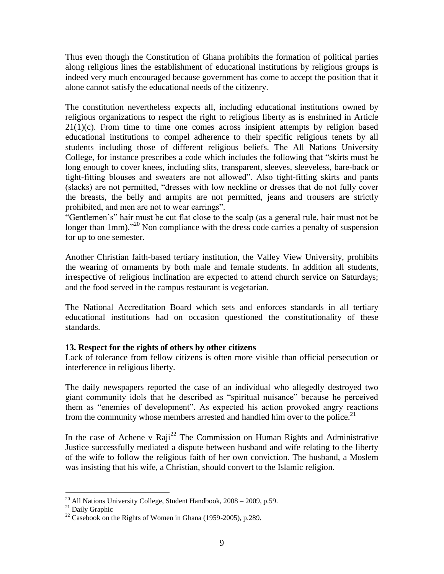Thus even though the Constitution of Ghana prohibits the formation of political parties along religious lines the establishment of educational institutions by religious groups is indeed very much encouraged because government has come to accept the position that it alone cannot satisfy the educational needs of the citizenry.

The constitution nevertheless expects all, including educational institutions owned by religious organizations to respect the right to religious liberty as is enshrined in Article  $21(1)(c)$ . From time to time one comes across insipient attempts by religion based educational institutions to compel adherence to their specific religious tenets by all students including those of different religious beliefs. The All Nations University College, for instance prescribes a code which includes the following that "skirts must be long enough to cover knees, including slits, transparent, sleeves, sleeveless, bare-back or tight-fitting blouses and sweaters are not allowed". Also tight-fitting skirts and pants (slacks) are not permitted, "dresses with low neckline or dresses that do not fully cover the breasts, the belly and armpits are not permitted, jeans and trousers are strictly prohibited, and men are not to wear earrings".

"Gentlemen's" hair must be cut flat close to the scalp (as a general rule, hair must not be longer than 1mm)."<sup>20</sup> Non compliance with the dress code carries a penalty of suspension for up to one semester.

Another Christian faith-based tertiary institution, the Valley View University, prohibits the wearing of ornaments by both male and female students. In addition all students, irrespective of religious inclination are expected to attend church service on Saturdays; and the food served in the campus restaurant is vegetarian.

The National Accreditation Board which sets and enforces standards in all tertiary educational institutions had on occasion questioned the constitutionality of these standards.

# **13. Respect for the rights of others by other citizens**

Lack of tolerance from fellow citizens is often more visible than official persecution or interference in religious liberty.

The daily newspapers reported the case of an individual who allegedly destroyed two giant community idols that he described as "spiritual nuisance" because he perceived them as "enemies of development". As expected his action provoked angry reactions from the community whose members arrested and handled him over to the police.<sup>21</sup>

In the case of Achene v Raji<sup>22</sup> The Commission on Human Rights and Administrative Justice successfully mediated a dispute between husband and wife relating to the liberty of the wife to follow the religious faith of her own conviction. The husband, a Moslem was insisting that his wife, a Christian, should convert to the Islamic religion.

 $\overline{a}$  $^{20}$  All Nations University College, Student Handbook,  $2008 - 2009$ , p.59.

<sup>&</sup>lt;sup>21</sup> Daily Graphic

 $22$  Casebook on the Rights of Women in Ghana (1959-2005), p.289.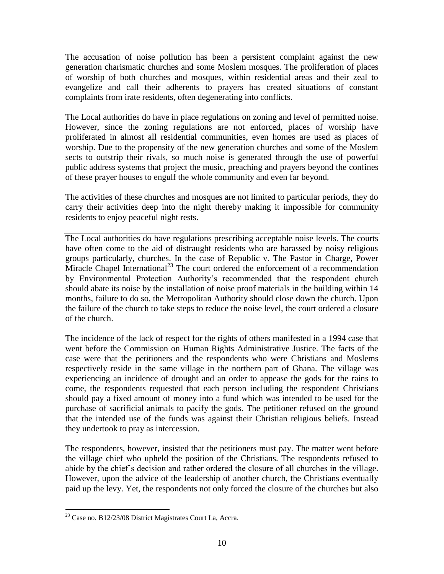The accusation of noise pollution has been a persistent complaint against the new generation charismatic churches and some Moslem mosques. The proliferation of places of worship of both churches and mosques, within residential areas and their zeal to evangelize and call their adherents to prayers has created situations of constant complaints from irate residents, often degenerating into conflicts.

The Local authorities do have in place regulations on zoning and level of permitted noise. However, since the zoning regulations are not enforced, places of worship have proliferated in almost all residential communities, even homes are used as places of worship. Due to the propensity of the new generation churches and some of the Moslem sects to outstrip their rivals, so much noise is generated through the use of powerful public address systems that project the music, preaching and prayers beyond the confines of these prayer houses to engulf the whole community and even far beyond.

The activities of these churches and mosques are not limited to particular periods, they do carry their activities deep into the night thereby making it impossible for community residents to enjoy peaceful night rests.

The Local authorities do have regulations prescribing acceptable noise levels. The courts have often come to the aid of distraught residents who are harassed by noisy religious groups particularly, churches. In the case of Republic v. The Pastor in Charge, Power Miracle Chapel International<sup>23</sup> The court ordered the enforcement of a recommendation by Environmental Protection Authority's recommended that the respondent church should abate its noise by the installation of noise proof materials in the building within 14 months, failure to do so, the Metropolitan Authority should close down the church. Upon the failure of the church to take steps to reduce the noise level, the court ordered a closure of the church.

The incidence of the lack of respect for the rights of others manifested in a 1994 case that went before the Commission on Human Rights Administrative Justice. The facts of the case were that the petitioners and the respondents who were Christians and Moslems respectively reside in the same village in the northern part of Ghana. The village was experiencing an incidence of drought and an order to appease the gods for the rains to come, the respondents requested that each person including the respondent Christians should pay a fixed amount of money into a fund which was intended to be used for the purchase of sacrificial animals to pacify the gods. The petitioner refused on the ground that the intended use of the funds was against their Christian religious beliefs. Instead they undertook to pray as intercession.

The respondents, however, insisted that the petitioners must pay. The matter went before the village chief who upheld the position of the Christians. The respondents refused to abide by the chief's decision and rather ordered the closure of all churches in the village. However, upon the advice of the leadership of another church, the Christians eventually paid up the levy. Yet, the respondents not only forced the closure of the churches but also

<sup>&</sup>lt;sup>23</sup> Case no. B12/23/08 District Magistrates Court La, Accra.